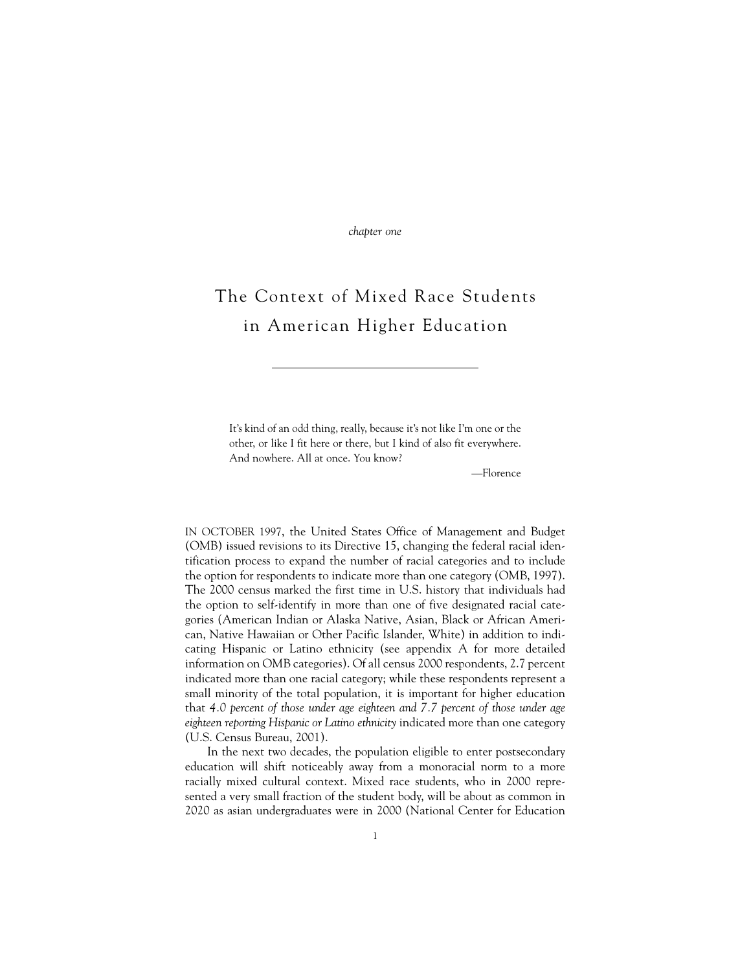#### *chapter one*

# The Context of Mixed Race Students in American Higher Education

It's kind of an odd thing, really, because it's not like I'm one or the other, or like I fit here or there, but I kind of also fit everywhere. And nowhere. All at once. You know?

—Florence

IN OCTOBER 1997, the United States Office of Management and Budget (OMB) issued revisions to its Directive 15, changing the federal racial identification process to expand the number of racial categories and to include the option for respondents to indicate more than one category (OMB, 1997). The 2000 census marked the first time in U.S. history that individuals had the option to self-identify in more than one of five designated racial categories (American Indian or Alaska Native, Asian, Black or African American, Native Hawaiian or Other Pacific Islander, White) in addition to indicating Hispanic or Latino ethnicity (see appendix A for more detailed information on OMB categories). Of all census 2000 respondents, 2.7 percent indicated more than one racial category; while these respondents represent a small minority of the total population, it is important for higher education that *4.0 percent of those under age eighteen and 7.7 percent of those under age eighteen reporting Hispanic or Latino ethnicity* indicated more than one category (U.S. Census Bureau, 2001).

In the next two decades, the population eligible to enter postsecondary education will shift noticeably away from a monoracial norm to a more racially mixed cultural context. Mixed race students, who in 2000 represented a very small fraction of the student body, will be about as common in 2020 as asian undergraduates were in 2000 (National Center for Education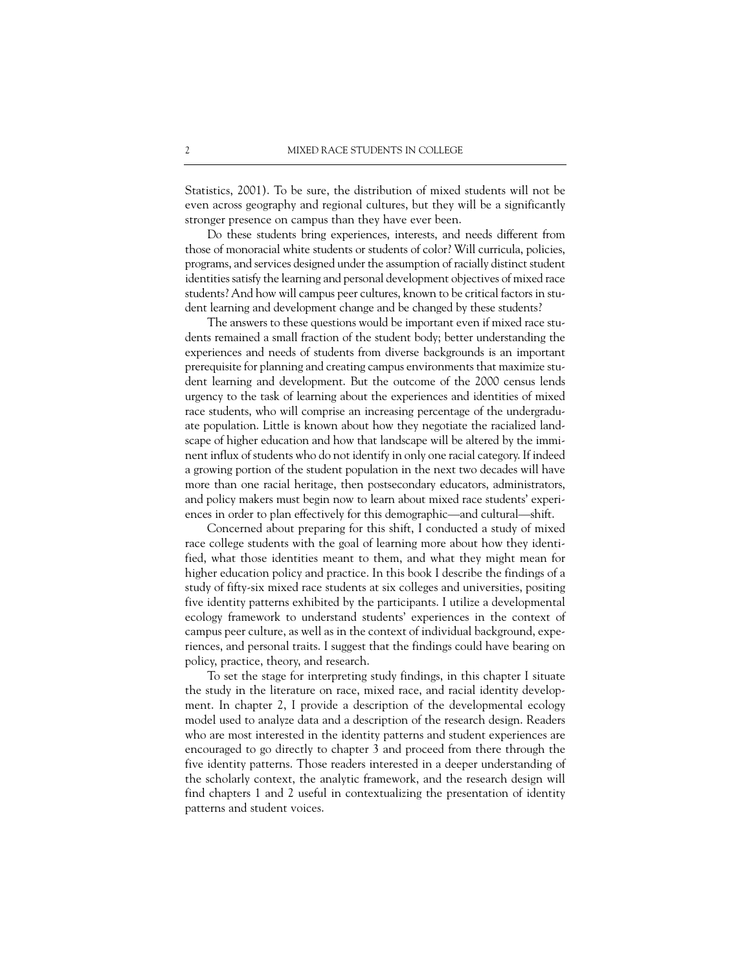Statistics, 2001). To be sure, the distribution of mixed students will not be even across geography and regional cultures, but they will be a significantly stronger presence on campus than they have ever been.

Do these students bring experiences, interests, and needs different from those of monoracial white students or students of color? Will curricula, policies, programs, and services designed under the assumption of racially distinct student identities satisfy the learning and personal development objectives of mixed race students? And how will campus peer cultures, known to be critical factors in student learning and development change and be changed by these students?

The answers to these questions would be important even if mixed race students remained a small fraction of the student body; better understanding the experiences and needs of students from diverse backgrounds is an important prerequisite for planning and creating campus environments that maximize student learning and development. But the outcome of the 2000 census lends urgency to the task of learning about the experiences and identities of mixed race students, who will comprise an increasing percentage of the undergraduate population. Little is known about how they negotiate the racialized landscape of higher education and how that landscape will be altered by the imminent influx of students who do not identify in only one racial category. If indeed a growing portion of the student population in the next two decades will have more than one racial heritage, then postsecondary educators, administrators, and policy makers must begin now to learn about mixed race students' experiences in order to plan effectively for this demographic—and cultural—shift.

Concerned about preparing for this shift, I conducted a study of mixed race college students with the goal of learning more about how they identified, what those identities meant to them, and what they might mean for higher education policy and practice. In this book I describe the findings of a study of fifty-six mixed race students at six colleges and universities, positing five identity patterns exhibited by the participants. I utilize a developmental ecology framework to understand students' experiences in the context of campus peer culture, as well as in the context of individual background, experiences, and personal traits. I suggest that the findings could have bearing on policy, practice, theory, and research.

To set the stage for interpreting study findings, in this chapter I situate the study in the literature on race, mixed race, and racial identity development. In chapter 2, I provide a description of the developmental ecology model used to analyze data and a description of the research design. Readers who are most interested in the identity patterns and student experiences are encouraged to go directly to chapter 3 and proceed from there through the five identity patterns. Those readers interested in a deeper understanding of the scholarly context, the analytic framework, and the research design will find chapters 1 and 2 useful in contextualizing the presentation of identity patterns and student voices.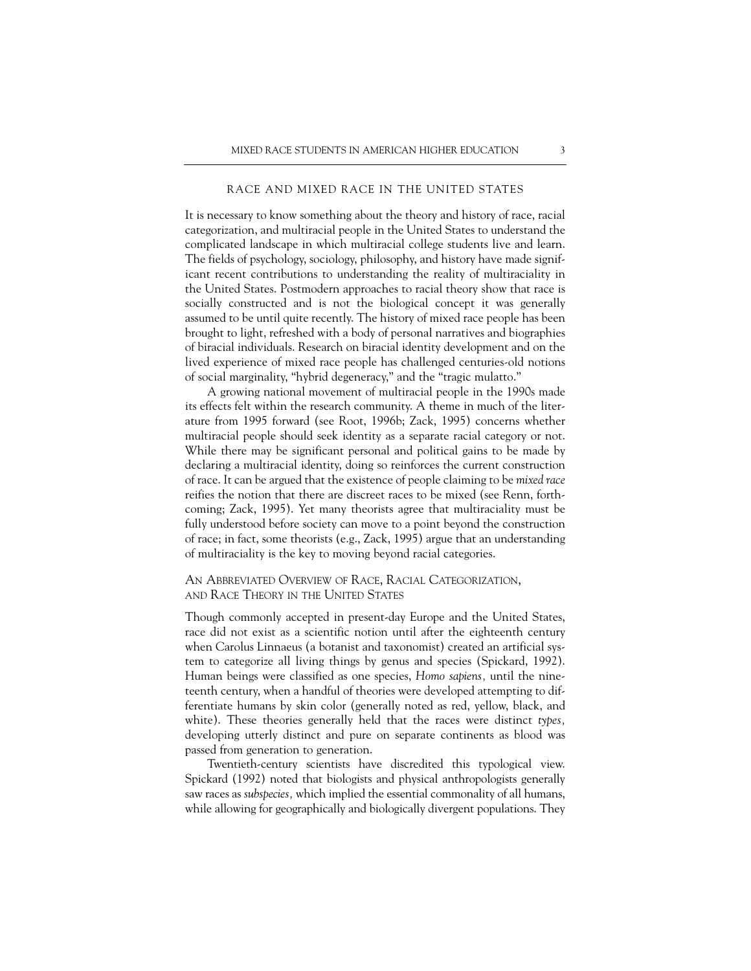#### RACE AND MIXED RACE IN THE UNITED STATES

It is necessary to know something about the theory and history of race, racial categorization, and multiracial people in the United States to understand the complicated landscape in which multiracial college students live and learn. The fields of psychology, sociology, philosophy, and history have made significant recent contributions to understanding the reality of multiraciality in the United States. Postmodern approaches to racial theory show that race is socially constructed and is not the biological concept it was generally assumed to be until quite recently. The history of mixed race people has been brought to light, refreshed with a body of personal narratives and biographies of biracial individuals. Research on biracial identity development and on the lived experience of mixed race people has challenged centuries-old notions of social marginality, "hybrid degeneracy," and the "tragic mulatto."

A growing national movement of multiracial people in the 1990s made its effects felt within the research community. A theme in much of the literature from 1995 forward (see Root, 1996b; Zack, 1995) concerns whether multiracial people should seek identity as a separate racial category or not. While there may be significant personal and political gains to be made by declaring a multiracial identity, doing so reinforces the current construction of race. It can be argued that the existence of people claiming to be *mixed race* reifies the notion that there are discreet races to be mixed (see Renn, forthcoming; Zack, 1995). Yet many theorists agree that multiraciality must be fully understood before society can move to a point beyond the construction of race; in fact, some theorists (e.g., Zack, 1995) argue that an understanding of multiraciality is the key to moving beyond racial categories.

# AN ABBREVIATED OVERVIEW OF RACE, RACIAL CATEGORIZATION, AND RACE THEORY IN THE UNITED STATES

Though commonly accepted in present-day Europe and the United States, race did not exist as a scientific notion until after the eighteenth century when Carolus Linnaeus (a botanist and taxonomist) created an artificial system to categorize all living things by genus and species (Spickard, 1992). Human beings were classified as one species, *Homo sapiens,* until the nineteenth century, when a handful of theories were developed attempting to differentiate humans by skin color (generally noted as red, yellow, black, and white). These theories generally held that the races were distinct *types,* developing utterly distinct and pure on separate continents as blood was passed from generation to generation.

Twentieth-century scientists have discredited this typological view. Spickard (1992) noted that biologists and physical anthropologists generally saw races as *subspecies,* which implied the essential commonality of all humans, while allowing for geographically and biologically divergent populations. They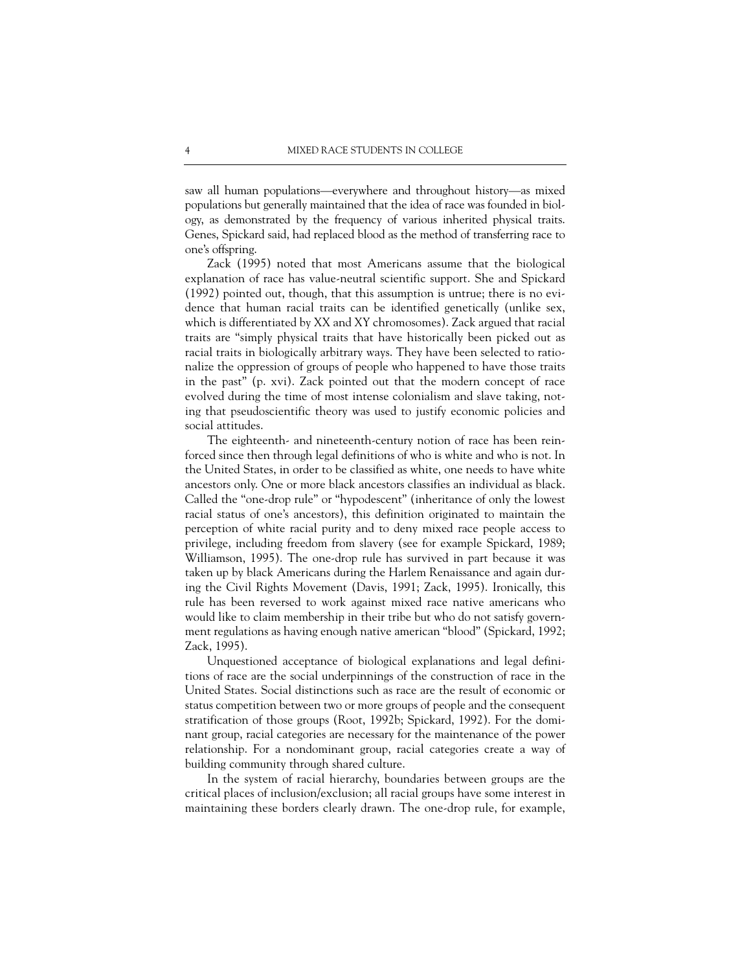saw all human populations—everywhere and throughout history—as mixed populations but generally maintained that the idea of race was founded in biology, as demonstrated by the frequency of various inherited physical traits. Genes, Spickard said, had replaced blood as the method of transferring race to one's offspring.

Zack (1995) noted that most Americans assume that the biological explanation of race has value-neutral scientific support. She and Spickard (1992) pointed out, though, that this assumption is untrue; there is no evidence that human racial traits can be identified genetically (unlike sex, which is differentiated by XX and XY chromosomes). Zack argued that racial traits are "simply physical traits that have historically been picked out as racial traits in biologically arbitrary ways. They have been selected to rationalize the oppression of groups of people who happened to have those traits in the past" (p. xvi). Zack pointed out that the modern concept of race evolved during the time of most intense colonialism and slave taking, noting that pseudoscientific theory was used to justify economic policies and social attitudes.

The eighteenth- and nineteenth-century notion of race has been reinforced since then through legal definitions of who is white and who is not. In the United States, in order to be classified as white, one needs to have white ancestors only. One or more black ancestors classifies an individual as black. Called the "one-drop rule" or "hypodescent" (inheritance of only the lowest racial status of one's ancestors), this definition originated to maintain the perception of white racial purity and to deny mixed race people access to privilege, including freedom from slavery (see for example Spickard, 1989; Williamson, 1995). The one-drop rule has survived in part because it was taken up by black Americans during the Harlem Renaissance and again during the Civil Rights Movement (Davis, 1991; Zack, 1995). Ironically, this rule has been reversed to work against mixed race native americans who would like to claim membership in their tribe but who do not satisfy government regulations as having enough native american "blood" (Spickard, 1992; Zack, 1995).

Unquestioned acceptance of biological explanations and legal definitions of race are the social underpinnings of the construction of race in the United States. Social distinctions such as race are the result of economic or status competition between two or more groups of people and the consequent stratification of those groups (Root, 1992b; Spickard, 1992). For the dominant group, racial categories are necessary for the maintenance of the power relationship. For a nondominant group, racial categories create a way of building community through shared culture.

In the system of racial hierarchy, boundaries between groups are the critical places of inclusion/exclusion; all racial groups have some interest in maintaining these borders clearly drawn. The one-drop rule, for example,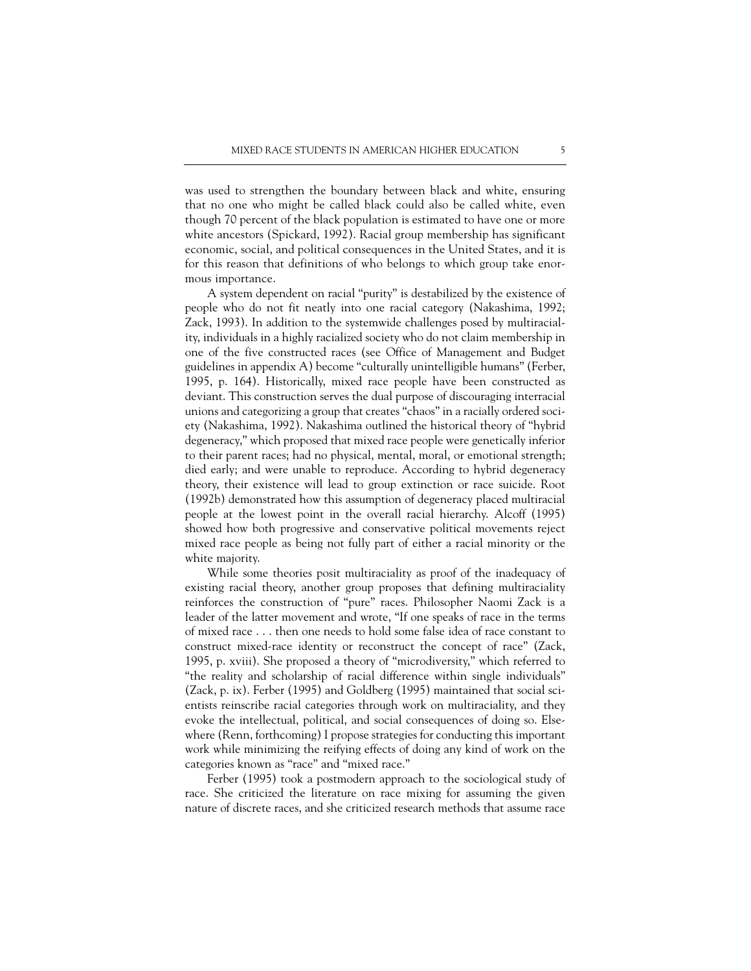was used to strengthen the boundary between black and white, ensuring that no one who might be called black could also be called white, even though 70 percent of the black population is estimated to have one or more white ancestors (Spickard, 1992). Racial group membership has significant economic, social, and political consequences in the United States, and it is for this reason that definitions of who belongs to which group take enormous importance.

A system dependent on racial "purity" is destabilized by the existence of people who do not fit neatly into one racial category (Nakashima, 1992; Zack, 1993). In addition to the systemwide challenges posed by multiraciality, individuals in a highly racialized society who do not claim membership in one of the five constructed races (see Office of Management and Budget guidelines in appendix A) become "culturally unintelligible humans" (Ferber, 1995, p. 164). Historically, mixed race people have been constructed as deviant. This construction serves the dual purpose of discouraging interracial unions and categorizing a group that creates "chaos" in a racially ordered society (Nakashima, 1992). Nakashima outlined the historical theory of "hybrid degeneracy," which proposed that mixed race people were genetically inferior to their parent races; had no physical, mental, moral, or emotional strength; died early; and were unable to reproduce. According to hybrid degeneracy theory, their existence will lead to group extinction or race suicide. Root (1992b) demonstrated how this assumption of degeneracy placed multiracial people at the lowest point in the overall racial hierarchy. Alcoff (1995) showed how both progressive and conservative political movements reject mixed race people as being not fully part of either a racial minority or the white majority.

While some theories posit multiraciality as proof of the inadequacy of existing racial theory, another group proposes that defining multiraciality reinforces the construction of "pure" races. Philosopher Naomi Zack is a leader of the latter movement and wrote, "If one speaks of race in the terms of mixed race . . . then one needs to hold some false idea of race constant to construct mixed-race identity or reconstruct the concept of race" (Zack, 1995, p. xviii). She proposed a theory of "microdiversity," which referred to "the reality and scholarship of racial difference within single individuals" (Zack, p. ix). Ferber (1995) and Goldberg (1995) maintained that social scientists reinscribe racial categories through work on multiraciality, and they evoke the intellectual, political, and social consequences of doing so. Elsewhere (Renn, forthcoming) I propose strategies for conducting this important work while minimizing the reifying effects of doing any kind of work on the categories known as "race" and "mixed race."

Ferber (1995) took a postmodern approach to the sociological study of race. She criticized the literature on race mixing for assuming the given nature of discrete races, and she criticized research methods that assume race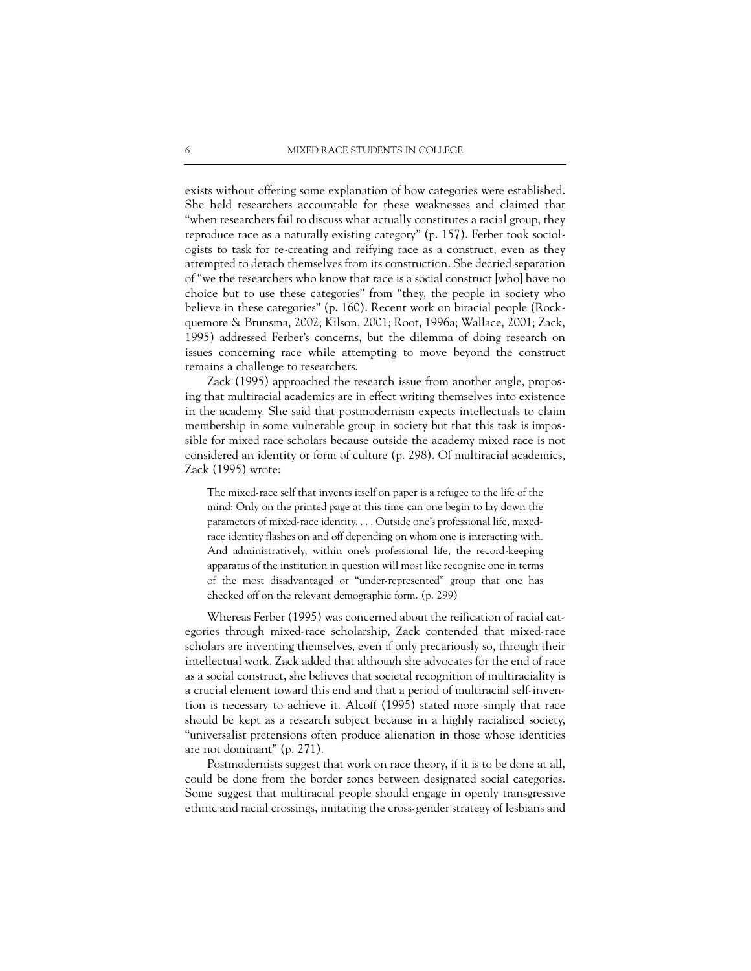exists without offering some explanation of how categories were established. She held researchers accountable for these weaknesses and claimed that "when researchers fail to discuss what actually constitutes a racial group, they reproduce race as a naturally existing category" (p. 157). Ferber took sociologists to task for re-creating and reifying race as a construct, even as they attempted to detach themselves from its construction. She decried separation of "we the researchers who know that race is a social construct [who] have no choice but to use these categories" from "they, the people in society who believe in these categories" (p. 160). Recent work on biracial people (Rockquemore & Brunsma, 2002; Kilson, 2001; Root, 1996a; Wallace, 2001; Zack, 1995) addressed Ferber's concerns, but the dilemma of doing research on issues concerning race while attempting to move beyond the construct remains a challenge to researchers.

Zack (1995) approached the research issue from another angle, proposing that multiracial academics are in effect writing themselves into existence in the academy. She said that postmodernism expects intellectuals to claim membership in some vulnerable group in society but that this task is impossible for mixed race scholars because outside the academy mixed race is not considered an identity or form of culture (p. 298). Of multiracial academics, Zack (1995) wrote:

The mixed-race self that invents itself on paper is a refugee to the life of the mind: Only on the printed page at this time can one begin to lay down the parameters of mixed-race identity. . . . Outside one's professional life, mixedrace identity flashes on and off depending on whom one is interacting with. And administratively, within one's professional life, the record-keeping apparatus of the institution in question will most like recognize one in terms of the most disadvantaged or "under-represented" group that one has checked off on the relevant demographic form. (p. 299)

Whereas Ferber (1995) was concerned about the reification of racial categories through mixed-race scholarship, Zack contended that mixed-race scholars are inventing themselves, even if only precariously so, through their intellectual work. Zack added that although she advocates for the end of race as a social construct, she believes that societal recognition of multiraciality is a crucial element toward this end and that a period of multiracial self-invention is necessary to achieve it. Alcoff (1995) stated more simply that race should be kept as a research subject because in a highly racialized society, "universalist pretensions often produce alienation in those whose identities are not dominant" (p. 271).

Postmodernists suggest that work on race theory, if it is to be done at all, could be done from the border zones between designated social categories. Some suggest that multiracial people should engage in openly transgressive ethnic and racial crossings, imitating the cross-gender strategy of lesbians and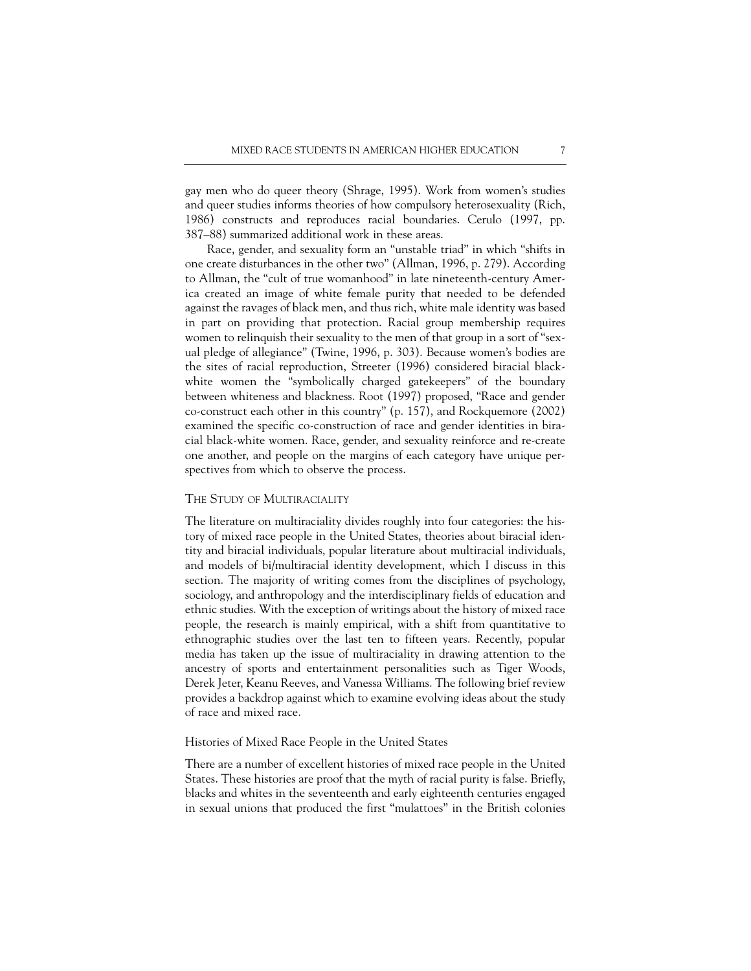gay men who do queer theory (Shrage, 1995). Work from women's studies and queer studies informs theories of how compulsory heterosexuality (Rich, 1986) constructs and reproduces racial boundaries. Cerulo (1997, pp. 387–88) summarized additional work in these areas.

Race, gender, and sexuality form an "unstable triad" in which "shifts in one create disturbances in the other two" (Allman, 1996, p. 279). According to Allman, the "cult of true womanhood" in late nineteenth-century America created an image of white female purity that needed to be defended against the ravages of black men, and thus rich, white male identity was based in part on providing that protection. Racial group membership requires women to relinquish their sexuality to the men of that group in a sort of "sexual pledge of allegiance" (Twine, 1996, p. 303). Because women's bodies are the sites of racial reproduction, Streeter (1996) considered biracial blackwhite women the "symbolically charged gatekeepers" of the boundary between whiteness and blackness. Root (1997) proposed, "Race and gender co-construct each other in this country" (p. 157), and Rockquemore (2002) examined the specific co-construction of race and gender identities in biracial black-white women. Race, gender, and sexuality reinforce and re-create one another, and people on the margins of each category have unique perspectives from which to observe the process.

# THE STUDY OF MULTIRACIALITY

The literature on multiraciality divides roughly into four categories: the history of mixed race people in the United States, theories about biracial identity and biracial individuals, popular literature about multiracial individuals, and models of bi/multiracial identity development, which I discuss in this section. The majority of writing comes from the disciplines of psychology, sociology, and anthropology and the interdisciplinary fields of education and ethnic studies. With the exception of writings about the history of mixed race people, the research is mainly empirical, with a shift from quantitative to ethnographic studies over the last ten to fifteen years. Recently, popular media has taken up the issue of multiraciality in drawing attention to the ancestry of sports and entertainment personalities such as Tiger Woods, Derek Jeter, Keanu Reeves, and Vanessa Williams. The following brief review provides a backdrop against which to examine evolving ideas about the study of race and mixed race.

Histories of Mixed Race People in the United States

There are a number of excellent histories of mixed race people in the United States. These histories are proof that the myth of racial purity is false. Briefly, blacks and whites in the seventeenth and early eighteenth centuries engaged in sexual unions that produced the first "mulattoes" in the British colonies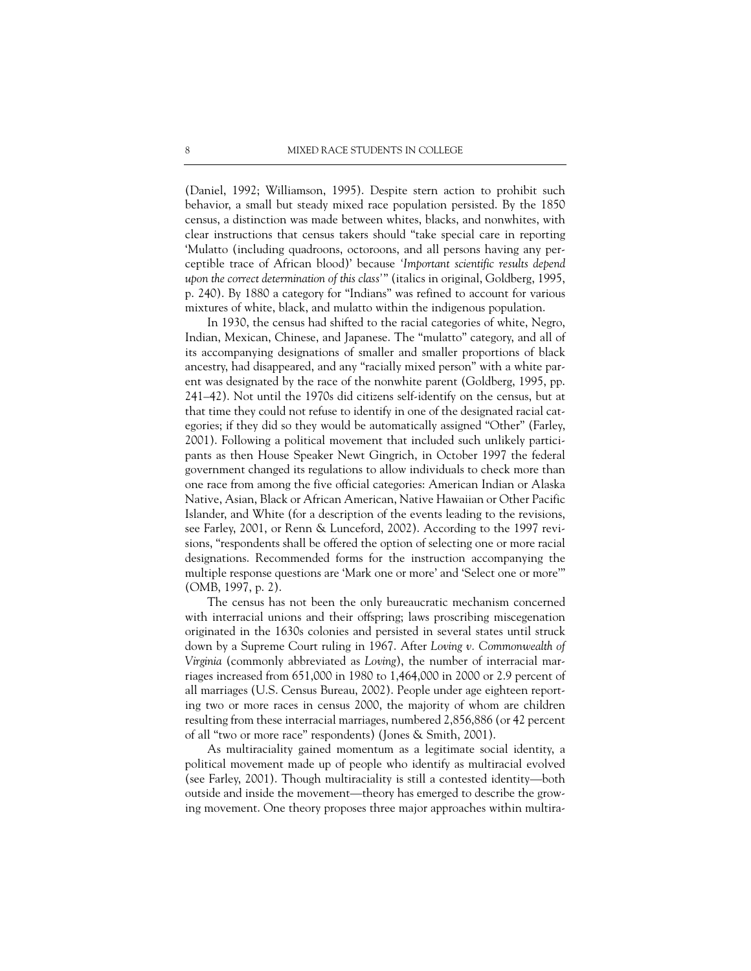(Daniel, 1992; Williamson, 1995). Despite stern action to prohibit such behavior, a small but steady mixed race population persisted. By the 1850 census, a distinction was made between whites, blacks, and nonwhites, with clear instructions that census takers should "take special care in reporting 'Mulatto (including quadroons, octoroons, and all persons having any perceptible trace of African blood)' because *'Important scientific results depend upon the correct determination of this class'*" (italics in original, Goldberg, 1995, p. 240). By 1880 a category for "Indians" was refined to account for various mixtures of white, black, and mulatto within the indigenous population.

In 1930, the census had shifted to the racial categories of white, Negro, Indian, Mexican, Chinese, and Japanese. The "mulatto" category, and all of its accompanying designations of smaller and smaller proportions of black ancestry, had disappeared, and any "racially mixed person" with a white parent was designated by the race of the nonwhite parent (Goldberg, 1995, pp. 241–42). Not until the 1970s did citizens self-identify on the census, but at that time they could not refuse to identify in one of the designated racial categories; if they did so they would be automatically assigned "Other" (Farley, 2001). Following a political movement that included such unlikely participants as then House Speaker Newt Gingrich, in October 1997 the federal government changed its regulations to allow individuals to check more than one race from among the five official categories: American Indian or Alaska Native, Asian, Black or African American, Native Hawaiian or Other Pacific Islander, and White (for a description of the events leading to the revisions, see Farley, 2001, or Renn & Lunceford, 2002). According to the 1997 revisions, "respondents shall be offered the option of selecting one or more racial designations. Recommended forms for the instruction accompanying the multiple response questions are 'Mark one or more' and 'Select one or more'" (OMB, 1997, p. 2).

The census has not been the only bureaucratic mechanism concerned with interracial unions and their offspring; laws proscribing miscegenation originated in the 1630s colonies and persisted in several states until struck down by a Supreme Court ruling in 1967. After *Loving v. Commonwealth of Virginia* (commonly abbreviated as *Loving*), the number of interracial marriages increased from 651,000 in 1980 to 1,464,000 in 2000 or 2.9 percent of all marriages (U.S. Census Bureau, 2002). People under age eighteen reporting two or more races in census 2000, the majority of whom are children resulting from these interracial marriages, numbered 2,856,886 (or 42 percent of all "two or more race" respondents) (Jones & Smith, 2001).

As multiraciality gained momentum as a legitimate social identity, a political movement made up of people who identify as multiracial evolved (see Farley, 2001). Though multiraciality is still a contested identity—both outside and inside the movement—theory has emerged to describe the growing movement. One theory proposes three major approaches within multira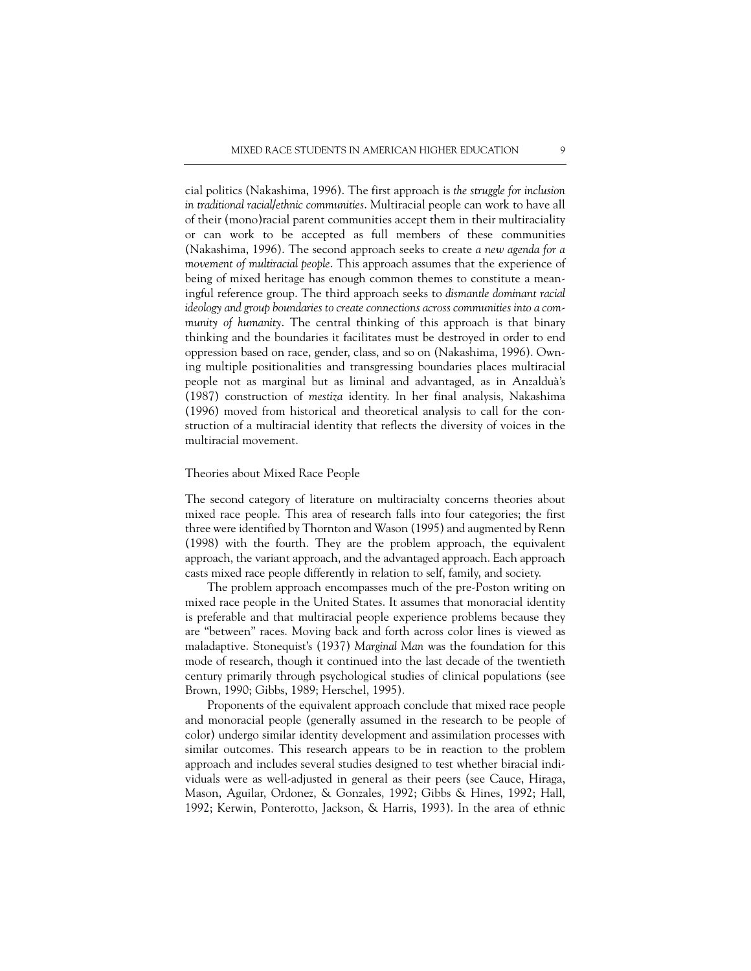cial politics (Nakashima, 1996). The first approach is *the struggle for inclusion in traditional racial/ethnic communities*. Multiracial people can work to have all of their (mono)racial parent communities accept them in their multiraciality or can work to be accepted as full members of these communities (Nakashima, 1996). The second approach seeks to create *a new agenda for a movement of multiracial people*. This approach assumes that the experience of being of mixed heritage has enough common themes to constitute a meaningful reference group. The third approach seeks to *dismantle dominant racial ideology and group boundaries to create connections across communities into a community of humanity*. The central thinking of this approach is that binary thinking and the boundaries it facilitates must be destroyed in order to end oppression based on race, gender, class, and so on (Nakashima, 1996). Owning multiple positionalities and transgressing boundaries places multiracial people not as marginal but as liminal and advantaged, as in Anzalduà's (1987) construction of *mestiza* identity. In her final analysis, Nakashima (1996) moved from historical and theoretical analysis to call for the construction of a multiracial identity that reflects the diversity of voices in the multiracial movement.

#### Theories about Mixed Race People

The second category of literature on multiracialty concerns theories about mixed race people. This area of research falls into four categories; the first three were identified by Thornton and Wason (1995) and augmented by Renn (1998) with the fourth. They are the problem approach, the equivalent approach, the variant approach, and the advantaged approach. Each approach casts mixed race people differently in relation to self, family, and society.

The problem approach encompasses much of the pre-Poston writing on mixed race people in the United States. It assumes that monoracial identity is preferable and that multiracial people experience problems because they are "between" races. Moving back and forth across color lines is viewed as maladaptive. Stonequist's (1937) *Marginal Man* was the foundation for this mode of research, though it continued into the last decade of the twentieth century primarily through psychological studies of clinical populations (see Brown, 1990; Gibbs, 1989; Herschel, 1995).

Proponents of the equivalent approach conclude that mixed race people and monoracial people (generally assumed in the research to be people of color) undergo similar identity development and assimilation processes with similar outcomes. This research appears to be in reaction to the problem approach and includes several studies designed to test whether biracial individuals were as well-adjusted in general as their peers (see Cauce, Hiraga, Mason, Aguilar, Ordonez, & Gonzales, 1992; Gibbs & Hines, 1992; Hall, 1992; Kerwin, Ponterotto, Jackson, & Harris, 1993). In the area of ethnic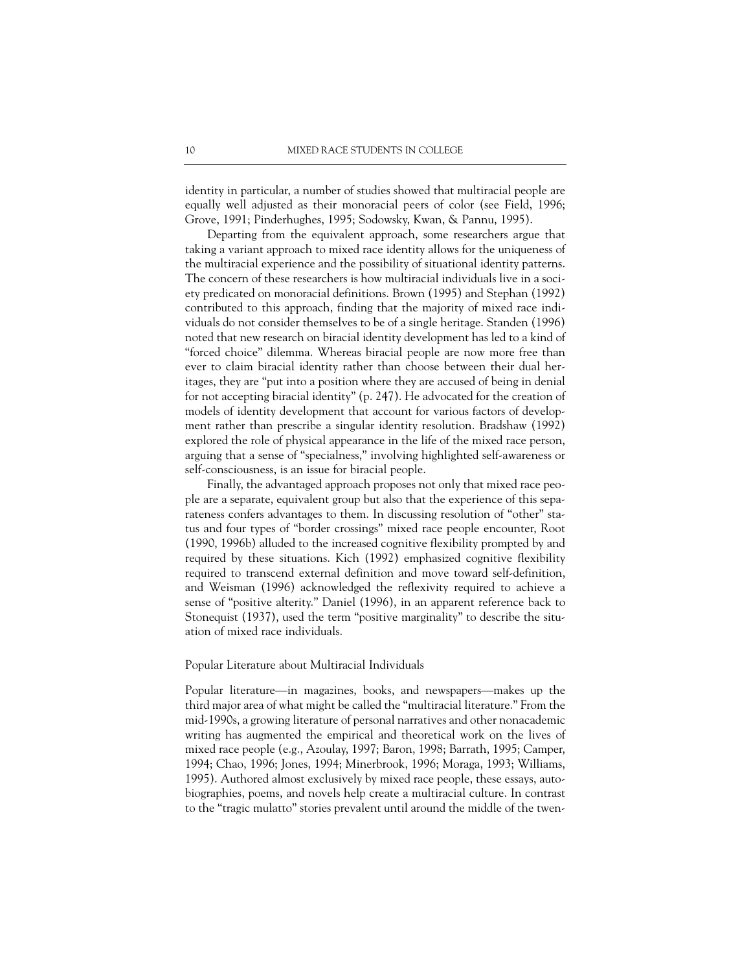identity in particular, a number of studies showed that multiracial people are equally well adjusted as their monoracial peers of color (see Field, 1996; Grove, 1991; Pinderhughes, 1995; Sodowsky, Kwan, & Pannu, 1995).

Departing from the equivalent approach, some researchers argue that taking a variant approach to mixed race identity allows for the uniqueness of the multiracial experience and the possibility of situational identity patterns. The concern of these researchers is how multiracial individuals live in a society predicated on monoracial definitions. Brown (1995) and Stephan (1992) contributed to this approach, finding that the majority of mixed race individuals do not consider themselves to be of a single heritage. Standen (1996) noted that new research on biracial identity development has led to a kind of "forced choice" dilemma. Whereas biracial people are now more free than ever to claim biracial identity rather than choose between their dual heritages, they are "put into a position where they are accused of being in denial for not accepting biracial identity" (p. 247). He advocated for the creation of models of identity development that account for various factors of development rather than prescribe a singular identity resolution. Bradshaw (1992) explored the role of physical appearance in the life of the mixed race person, arguing that a sense of "specialness," involving highlighted self-awareness or self-consciousness, is an issue for biracial people.

Finally, the advantaged approach proposes not only that mixed race people are a separate, equivalent group but also that the experience of this separateness confers advantages to them. In discussing resolution of "other" status and four types of "border crossings" mixed race people encounter, Root (1990, 1996b) alluded to the increased cognitive flexibility prompted by and required by these situations. Kich (1992) emphasized cognitive flexibility required to transcend external definition and move toward self-definition, and Weisman (1996) acknowledged the reflexivity required to achieve a sense of "positive alterity." Daniel (1996), in an apparent reference back to Stonequist (1937), used the term "positive marginality" to describe the situation of mixed race individuals.

#### Popular Literature about Multiracial Individuals

Popular literature—in magazines, books, and newspapers—makes up the third major area of what might be called the "multiracial literature." From the mid-1990s, a growing literature of personal narratives and other nonacademic writing has augmented the empirical and theoretical work on the lives of mixed race people (e.g., Azoulay, 1997; Baron, 1998; Barrath, 1995; Camper, 1994; Chao, 1996; Jones, 1994; Minerbrook, 1996; Moraga, 1993; Williams, 1995). Authored almost exclusively by mixed race people, these essays, autobiographies, poems, and novels help create a multiracial culture. In contrast to the "tragic mulatto" stories prevalent until around the middle of the twen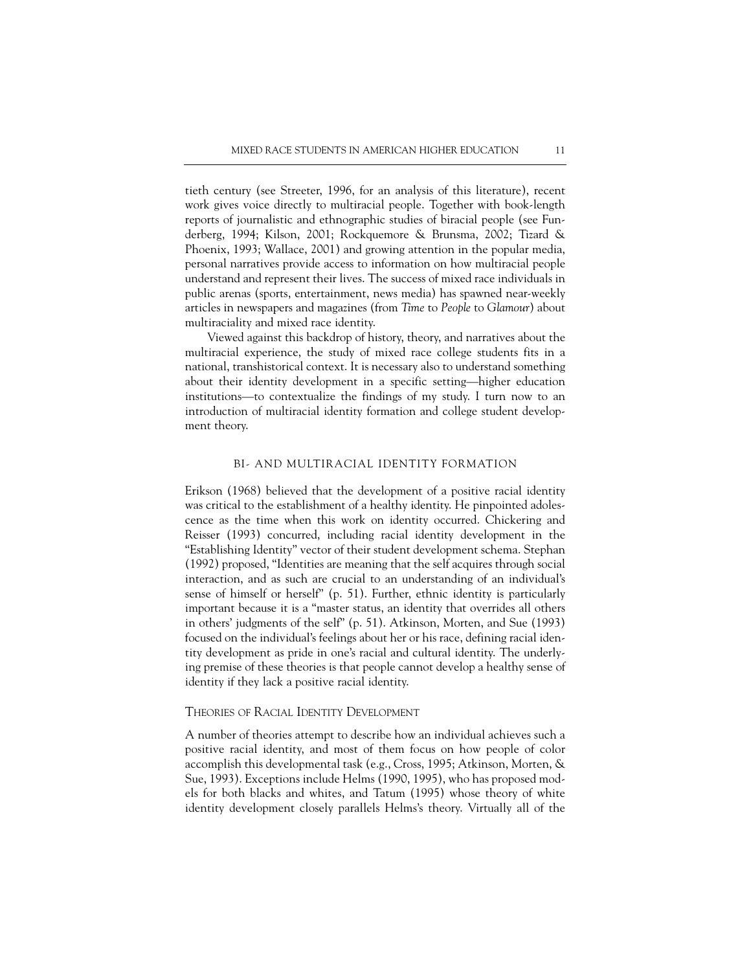tieth century (see Streeter, 1996, for an analysis of this literature), recent work gives voice directly to multiracial people. Together with book-length reports of journalistic and ethnographic studies of biracial people (see Funderberg, 1994; Kilson, 2001; Rockquemore & Brunsma, 2002; Tizard & Phoenix, 1993; Wallace, 2001) and growing attention in the popular media, personal narratives provide access to information on how multiracial people understand and represent their lives. The success of mixed race individuals in public arenas (sports, entertainment, news media) has spawned near-weekly articles in newspapers and magazines (from *Time* to *People* to *Glamour*) about multiraciality and mixed race identity.

Viewed against this backdrop of history, theory, and narratives about the multiracial experience, the study of mixed race college students fits in a national, transhistorical context. It is necessary also to understand something about their identity development in a specific setting—higher education institutions—to contextualize the findings of my study. I turn now to an introduction of multiracial identity formation and college student development theory.

## BI- AND MULTIRACIAL IDENTITY FORMATION

Erikson (1968) believed that the development of a positive racial identity was critical to the establishment of a healthy identity. He pinpointed adolescence as the time when this work on identity occurred. Chickering and Reisser (1993) concurred, including racial identity development in the "Establishing Identity" vector of their student development schema. Stephan (1992) proposed, "Identities are meaning that the self acquires through social interaction, and as such are crucial to an understanding of an individual's sense of himself or herself" (p. 51). Further, ethnic identity is particularly important because it is a "master status, an identity that overrides all others in others' judgments of the self" (p. 51). Atkinson, Morten, and Sue (1993) focused on the individual's feelings about her or his race, defining racial identity development as pride in one's racial and cultural identity. The underlying premise of these theories is that people cannot develop a healthy sense of identity if they lack a positive racial identity.

#### THEORIES OF RACIAL IDENTITY DEVELOPMENT

A number of theories attempt to describe how an individual achieves such a positive racial identity, and most of them focus on how people of color accomplish this developmental task (e.g., Cross, 1995; Atkinson, Morten, & Sue, 1993). Exceptions include Helms (1990, 1995), who has proposed models for both blacks and whites, and Tatum (1995) whose theory of white identity development closely parallels Helms's theory. Virtually all of the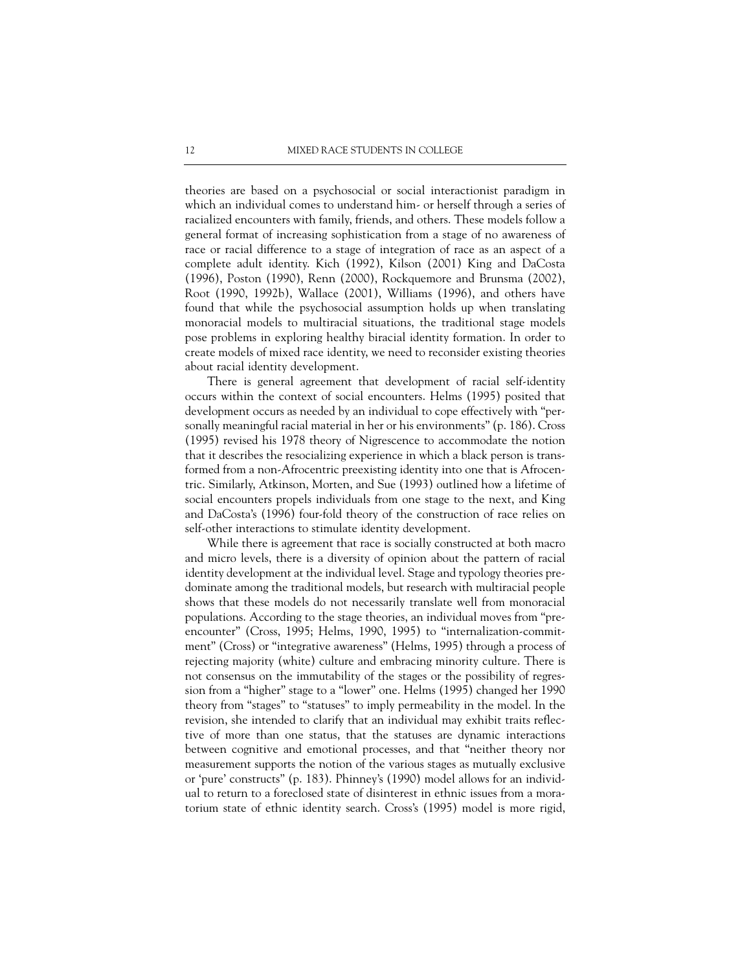theories are based on a psychosocial or social interactionist paradigm in which an individual comes to understand him- or herself through a series of racialized encounters with family, friends, and others. These models follow a general format of increasing sophistication from a stage of no awareness of race or racial difference to a stage of integration of race as an aspect of a complete adult identity. Kich (1992), Kilson (2001) King and DaCosta (1996), Poston (1990), Renn (2000), Rockquemore and Brunsma (2002), Root (1990, 1992b), Wallace (2001), Williams (1996), and others have found that while the psychosocial assumption holds up when translating monoracial models to multiracial situations, the traditional stage models pose problems in exploring healthy biracial identity formation. In order to create models of mixed race identity, we need to reconsider existing theories about racial identity development.

There is general agreement that development of racial self-identity occurs within the context of social encounters. Helms (1995) posited that development occurs as needed by an individual to cope effectively with "personally meaningful racial material in her or his environments" (p. 186). Cross (1995) revised his 1978 theory of Nigrescence to accommodate the notion that it describes the resocializing experience in which a black person is transformed from a non-Afrocentric preexisting identity into one that is Afrocentric. Similarly, Atkinson, Morten, and Sue (1993) outlined how a lifetime of social encounters propels individuals from one stage to the next, and King and DaCosta's (1996) four-fold theory of the construction of race relies on self-other interactions to stimulate identity development.

While there is agreement that race is socially constructed at both macro and micro levels, there is a diversity of opinion about the pattern of racial identity development at the individual level. Stage and typology theories predominate among the traditional models, but research with multiracial people shows that these models do not necessarily translate well from monoracial populations. According to the stage theories, an individual moves from "preencounter" (Cross, 1995; Helms, 1990, 1995) to "internalization-commitment" (Cross) or "integrative awareness" (Helms, 1995) through a process of rejecting majority (white) culture and embracing minority culture. There is not consensus on the immutability of the stages or the possibility of regression from a "higher" stage to a "lower" one. Helms (1995) changed her 1990 theory from "stages" to "statuses" to imply permeability in the model. In the revision, she intended to clarify that an individual may exhibit traits reflective of more than one status, that the statuses are dynamic interactions between cognitive and emotional processes, and that "neither theory nor measurement supports the notion of the various stages as mutually exclusive or 'pure' constructs" (p. 183). Phinney's (1990) model allows for an individual to return to a foreclosed state of disinterest in ethnic issues from a moratorium state of ethnic identity search. Cross's (1995) model is more rigid,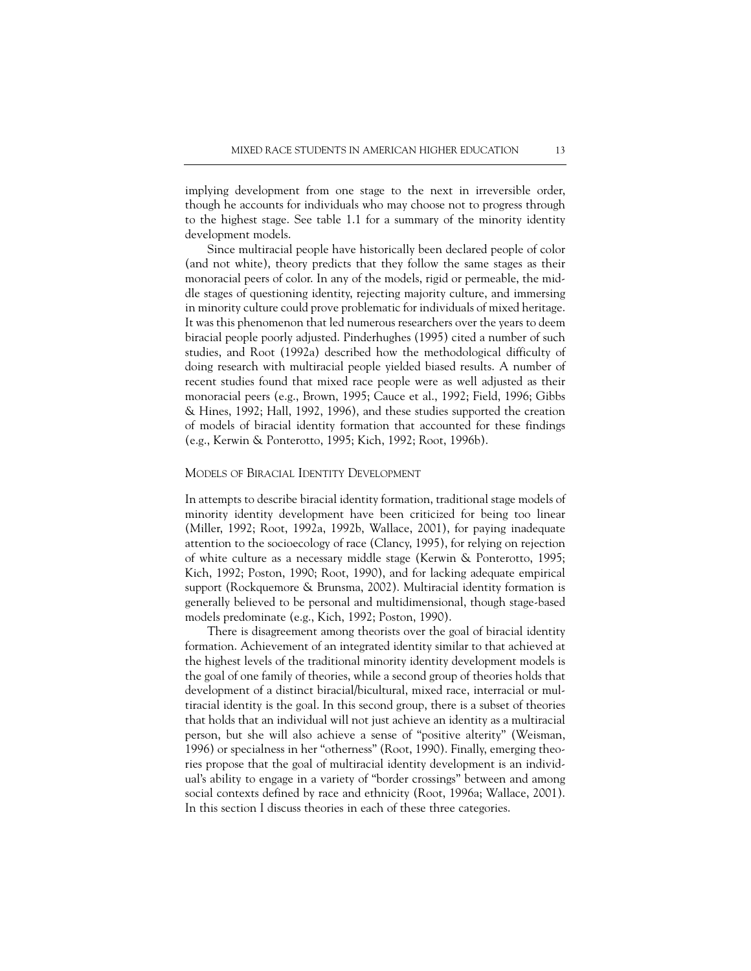implying development from one stage to the next in irreversible order, though he accounts for individuals who may choose not to progress through to the highest stage. See table 1.1 for a summary of the minority identity development models.

Since multiracial people have historically been declared people of color (and not white), theory predicts that they follow the same stages as their monoracial peers of color. In any of the models, rigid or permeable, the middle stages of questioning identity, rejecting majority culture, and immersing in minority culture could prove problematic for individuals of mixed heritage. It was this phenomenon that led numerous researchers over the years to deem biracial people poorly adjusted. Pinderhughes (1995) cited a number of such studies, and Root (1992a) described how the methodological difficulty of doing research with multiracial people yielded biased results. A number of recent studies found that mixed race people were as well adjusted as their monoracial peers (e.g., Brown, 1995; Cauce et al., 1992; Field, 1996; Gibbs & Hines, 1992; Hall, 1992, 1996), and these studies supported the creation of models of biracial identity formation that accounted for these findings (e.g., Kerwin & Ponterotto, 1995; Kich, 1992; Root, 1996b).

# MODELS OF BIRACIAL IDENTITY DEVELOPMENT

In attempts to describe biracial identity formation, traditional stage models of minority identity development have been criticized for being too linear (Miller, 1992; Root, 1992a, 1992b, Wallace, 2001), for paying inadequate attention to the socioecology of race (Clancy, 1995), for relying on rejection of white culture as a necessary middle stage (Kerwin & Ponterotto, 1995; Kich, 1992; Poston, 1990; Root, 1990), and for lacking adequate empirical support (Rockquemore & Brunsma, 2002). Multiracial identity formation is generally believed to be personal and multidimensional, though stage-based models predominate (e.g., Kich, 1992; Poston, 1990).

There is disagreement among theorists over the goal of biracial identity formation. Achievement of an integrated identity similar to that achieved at the highest levels of the traditional minority identity development models is the goal of one family of theories, while a second group of theories holds that development of a distinct biracial/bicultural, mixed race, interracial or multiracial identity is the goal. In this second group, there is a subset of theories that holds that an individual will not just achieve an identity as a multiracial person, but she will also achieve a sense of "positive alterity" (Weisman, 1996) or specialness in her "otherness" (Root, 1990). Finally, emerging theories propose that the goal of multiracial identity development is an individual's ability to engage in a variety of "border crossings" between and among social contexts defined by race and ethnicity (Root, 1996a; Wallace, 2001). In this section I discuss theories in each of these three categories.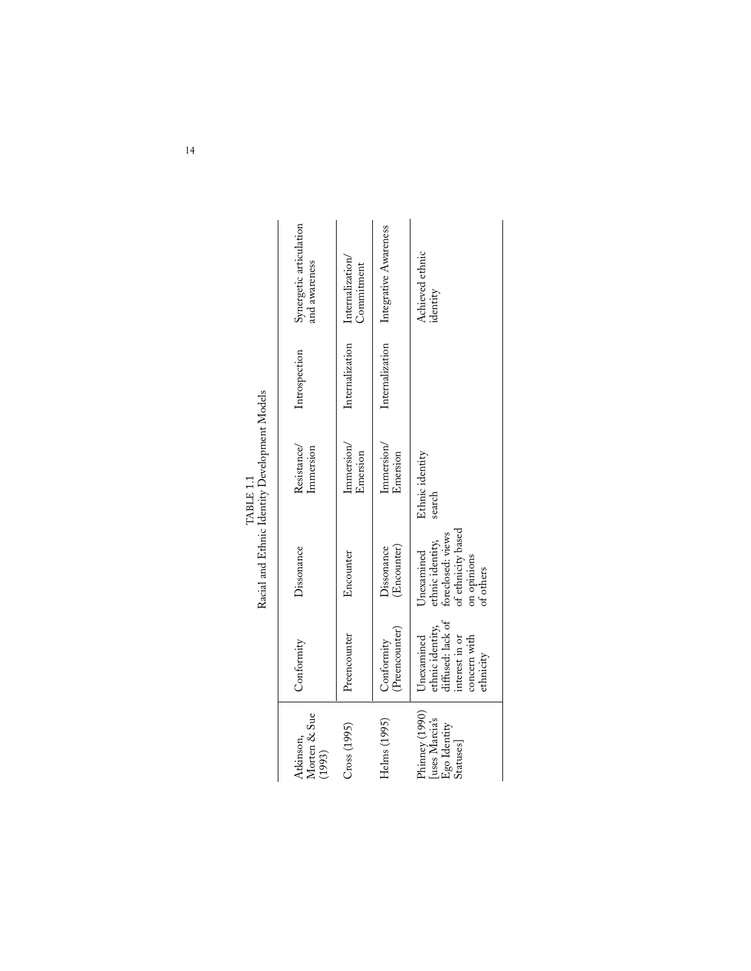|                                                                     |                                                                                                    |                                                                                                       | common and the product of the common the common the common of the common the common the common the common the common the common the common the common the common the common the common the common the common the common the co |                 |                                          |
|---------------------------------------------------------------------|----------------------------------------------------------------------------------------------------|-------------------------------------------------------------------------------------------------------|--------------------------------------------------------------------------------------------------------------------------------------------------------------------------------------------------------------------------------|-----------------|------------------------------------------|
| Morten & Sue<br>Atkinson,<br>(1993)                                 | Conformity                                                                                         | Dissonance                                                                                            | Resistance/<br>Immersion                                                                                                                                                                                                       | Introspection   | Synergetic articulation<br>and awareness |
| Cross(1995)                                                         | Preencounter                                                                                       | Encounter                                                                                             | Immersion<br>Emersion                                                                                                                                                                                                          | Internalization | Internalization/<br>Commitment           |
| Helms (1995)                                                        | (Preencounter)<br>Conformity                                                                       | (Encounter)<br>Dissonance                                                                             | Immersion<br>Emersion                                                                                                                                                                                                          |                 | Internalization Integrative Awareness    |
| Phinney (1990)<br>[uses Marcia's<br>Ego Identity<br><b>Statuses</b> | diffused: lack of<br>ethnic identity,<br>Unexamined<br>interest in or<br>concern with<br>ethnicity | of ethnicity based<br>foreclosed: views<br>ethnic identity,<br>Jnexamined<br>on opinions<br>of others | Ethnic identity<br>search                                                                                                                                                                                                      |                 | Achieved ethnic<br>identity              |

TABLE 1.1<br>Racial and Ethnic Identity Development Models Racial and Ethnic Identity Development Models TABLE 1.1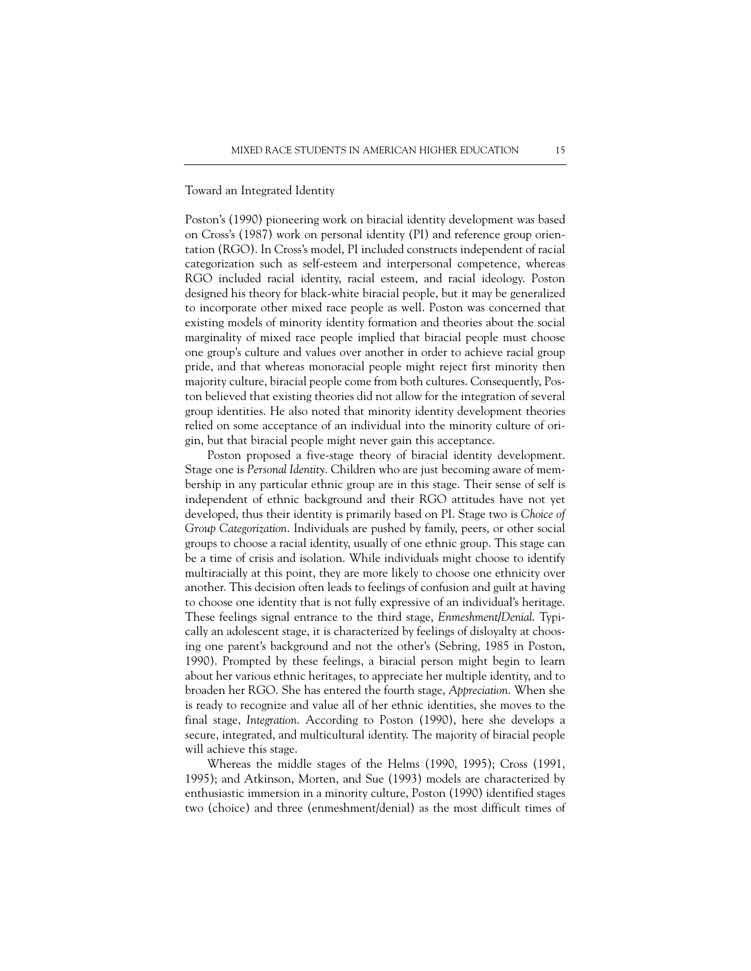# Toward an Integrated Identity

Poston's (1990) pioneering work on biracial identity development was based on Cross's (1987) work on personal identity (PI) and reference group orientation (RGO). In Cross's model, PI included constructs independent of racial categorization such as self-esteem and interpersonal competence, whereas RGO included racial identity, racial esteem, and racial ideology. Poston designed his theory for black-white biracial people, but it may be generalized to incorporate other mixed race people as well. Poston was concerned that existing models of minority identity formation and theories about the social marginality of mixed race people implied that biracial people must choose one group's culture and values over another in order to achieve racial group pride, and that whereas monoracial people might reject first minority then majority culture, biracial people come from both cultures. Consequently, Poston believed that existing theories did not allow for the integration of several group identities. He also noted that minority identity development theories relied on some acceptance of an individual into the minority culture of origin, but that biracial people might never gain this acceptance.

Poston proposed a five-stage theory of biracial identity development. Stage one is *Personal Identity*. Children who are just becoming aware of membership in any particular ethnic group are in this stage. Their sense of self is independent of ethnic background and their RGO attitudes have not yet developed, thus their identity is primarily based on PI. Stage two is *Choice of Group Categorization*. Individuals are pushed by family, peers, or other social groups to choose a racial identity, usually of one ethnic group. This stage can be a time of crisis and isolation. While individuals might choose to identify multiracially at this point, they are more likely to choose one ethnicity over another. This decision often leads to feelings of confusion and guilt at having to choose one identity that is not fully expressive of an individual's heritage. These feelings signal entrance to the third stage, *Enmeshment/Denial*. Typically an adolescent stage, it is characterized by feelings of disloyalty at choosing one parent's background and not the other's (Sebring, 1985 in Poston, 1990). Prompted by these feelings, a biracial person might begin to learn about her various ethnic heritages, to appreciate her multiple identity, and to broaden her RGO. She has entered the fourth stage, *Appreciation*. When she is ready to recognize and value all of her ethnic identities, she moves to the final stage, *Integration*. According to Poston (1990), here she develops a secure, integrated, and multicultural identity. The majority of biracial people will achieve this stage.

Whereas the middle stages of the Helms (1990, 1995); Cross (1991, 1995); and Atkinson, Morten, and Sue (1993) models are characterized by enthusiastic immersion in a minority culture, Poston (1990) identified stages two (choice) and three (enmeshment/denial) as the most difficult times of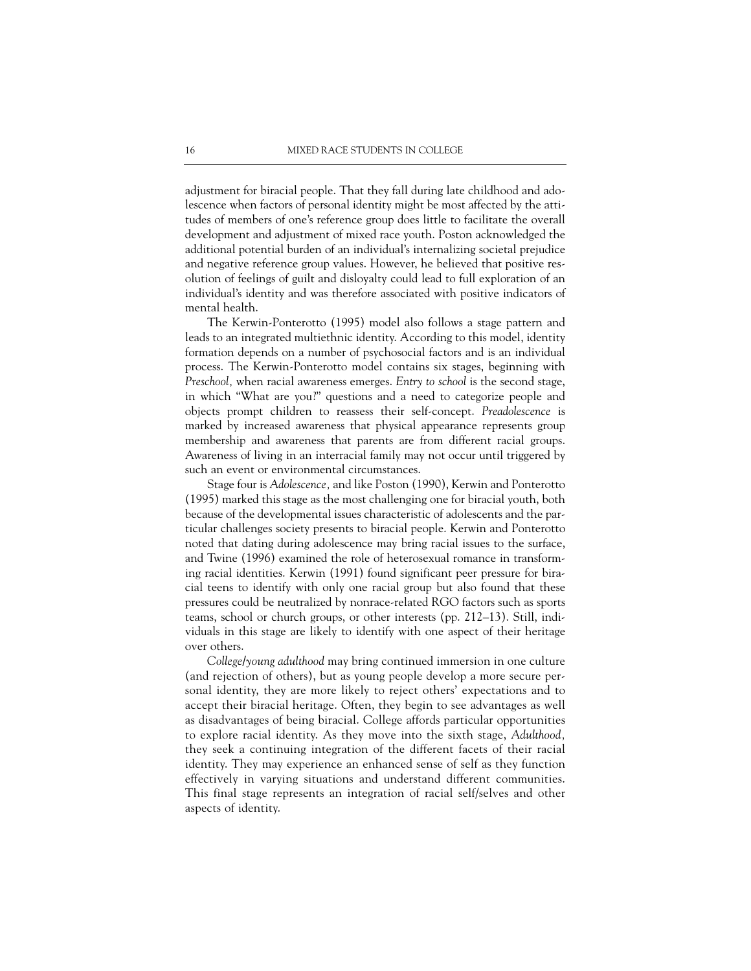adjustment for biracial people. That they fall during late childhood and adolescence when factors of personal identity might be most affected by the attitudes of members of one's reference group does little to facilitate the overall development and adjustment of mixed race youth. Poston acknowledged the additional potential burden of an individual's internalizing societal prejudice and negative reference group values. However, he believed that positive resolution of feelings of guilt and disloyalty could lead to full exploration of an individual's identity and was therefore associated with positive indicators of mental health.

The Kerwin-Ponterotto (1995) model also follows a stage pattern and leads to an integrated multiethnic identity. According to this model, identity formation depends on a number of psychosocial factors and is an individual process. The Kerwin-Ponterotto model contains six stages, beginning with *Preschool,* when racial awareness emerges. *Entry to school* is the second stage, in which "What are you?" questions and a need to categorize people and objects prompt children to reassess their self-concept. *Preadolescence* is marked by increased awareness that physical appearance represents group membership and awareness that parents are from different racial groups. Awareness of living in an interracial family may not occur until triggered by such an event or environmental circumstances.

Stage four is *Adolescence,* and like Poston (1990), Kerwin and Ponterotto (1995) marked this stage as the most challenging one for biracial youth, both because of the developmental issues characteristic of adolescents and the particular challenges society presents to biracial people. Kerwin and Ponterotto noted that dating during adolescence may bring racial issues to the surface, and Twine (1996) examined the role of heterosexual romance in transforming racial identities. Kerwin (1991) found significant peer pressure for biracial teens to identify with only one racial group but also found that these pressures could be neutralized by nonrace-related RGO factors such as sports teams, school or church groups, or other interests (pp. 212–13). Still, individuals in this stage are likely to identify with one aspect of their heritage over others.

*College/young adulthood* may bring continued immersion in one culture (and rejection of others), but as young people develop a more secure personal identity, they are more likely to reject others' expectations and to accept their biracial heritage. Often, they begin to see advantages as well as disadvantages of being biracial. College affords particular opportunities to explore racial identity. As they move into the sixth stage, *Adulthood,* they seek a continuing integration of the different facets of their racial identity. They may experience an enhanced sense of self as they function effectively in varying situations and understand different communities. This final stage represents an integration of racial self/selves and other aspects of identity.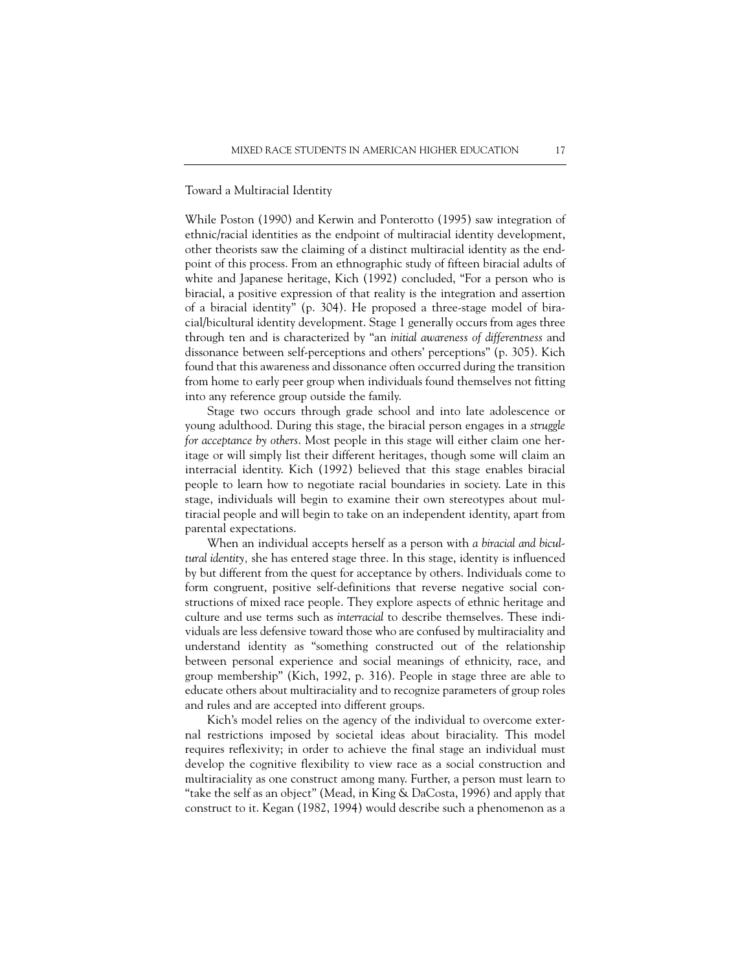# Toward a Multiracial Identity

While Poston (1990) and Kerwin and Ponterotto (1995) saw integration of ethnic/racial identities as the endpoint of multiracial identity development, other theorists saw the claiming of a distinct multiracial identity as the endpoint of this process. From an ethnographic study of fifteen biracial adults of white and Japanese heritage, Kich (1992) concluded, "For a person who is biracial, a positive expression of that reality is the integration and assertion of a biracial identity" (p. 304). He proposed a three-stage model of biracial/bicultural identity development. Stage 1 generally occurs from ages three through ten and is characterized by "an *initial awareness of differentness* and dissonance between self-perceptions and others' perceptions" (p. 305). Kich found that this awareness and dissonance often occurred during the transition from home to early peer group when individuals found themselves not fitting into any reference group outside the family.

Stage two occurs through grade school and into late adolescence or young adulthood. During this stage, the biracial person engages in a *struggle for acceptance by others*. Most people in this stage will either claim one heritage or will simply list their different heritages, though some will claim an interracial identity. Kich (1992) believed that this stage enables biracial people to learn how to negotiate racial boundaries in society. Late in this stage, individuals will begin to examine their own stereotypes about multiracial people and will begin to take on an independent identity, apart from parental expectations.

When an individual accepts herself as a person with *a biracial and bicultural identity,* she has entered stage three. In this stage, identity is influenced by but different from the quest for acceptance by others. Individuals come to form congruent, positive self-definitions that reverse negative social constructions of mixed race people. They explore aspects of ethnic heritage and culture and use terms such as *interracial* to describe themselves. These individuals are less defensive toward those who are confused by multiraciality and understand identity as "something constructed out of the relationship between personal experience and social meanings of ethnicity, race, and group membership" (Kich, 1992, p. 316). People in stage three are able to educate others about multiraciality and to recognize parameters of group roles and rules and are accepted into different groups.

Kich's model relies on the agency of the individual to overcome external restrictions imposed by societal ideas about biraciality. This model requires reflexivity; in order to achieve the final stage an individual must develop the cognitive flexibility to view race as a social construction and multiraciality as one construct among many. Further, a person must learn to "take the self as an object" (Mead, in King & DaCosta, 1996) and apply that construct to it. Kegan (1982, 1994) would describe such a phenomenon as a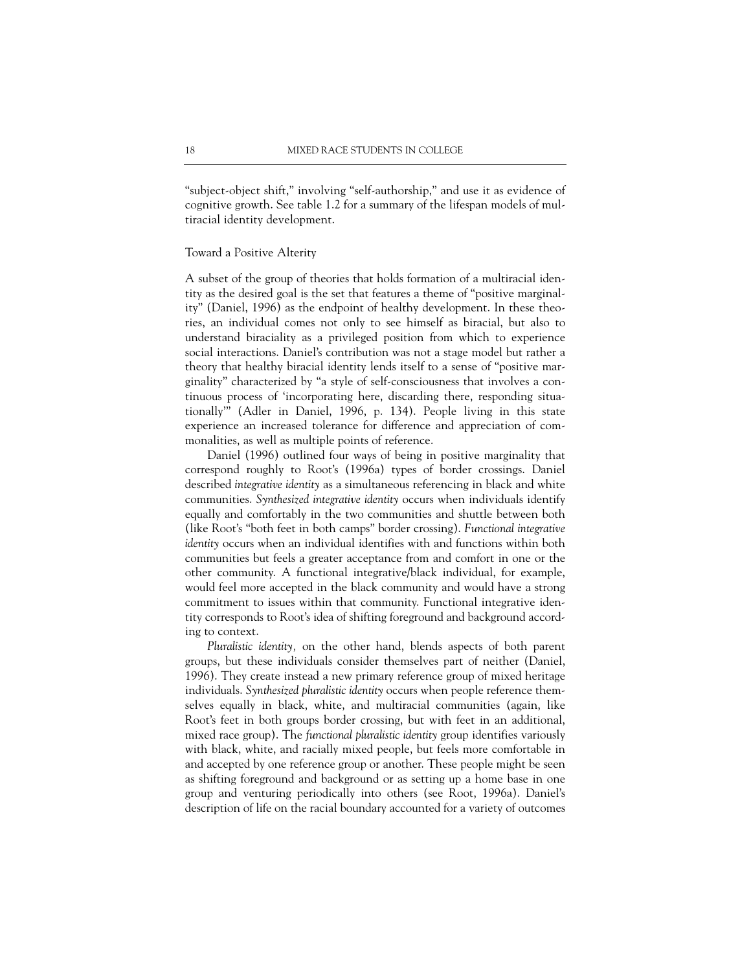"subject-object shift," involving "self-authorship," and use it as evidence of cognitive growth. See table 1.2 for a summary of the lifespan models of multiracial identity development.

## Toward a Positive Alterity

A subset of the group of theories that holds formation of a multiracial identity as the desired goal is the set that features a theme of "positive marginality" (Daniel, 1996) as the endpoint of healthy development. In these theories, an individual comes not only to see himself as biracial, but also to understand biraciality as a privileged position from which to experience social interactions. Daniel's contribution was not a stage model but rather a theory that healthy biracial identity lends itself to a sense of "positive marginality" characterized by "a style of self-consciousness that involves a continuous process of 'incorporating here, discarding there, responding situationally'" (Adler in Daniel, 1996, p. 134). People living in this state experience an increased tolerance for difference and appreciation of commonalities, as well as multiple points of reference.

Daniel (1996) outlined four ways of being in positive marginality that correspond roughly to Root's (1996a) types of border crossings. Daniel described *integrative identity* as a simultaneous referencing in black and white communities. *Synthesized integrative identity* occurs when individuals identify equally and comfortably in the two communities and shuttle between both (like Root's "both feet in both camps" border crossing). *Functional integrative identity* occurs when an individual identifies with and functions within both communities but feels a greater acceptance from and comfort in one or the other community. A functional integrative/black individual, for example, would feel more accepted in the black community and would have a strong commitment to issues within that community. Functional integrative identity corresponds to Root's idea of shifting foreground and background according to context.

*Pluralistic identity,* on the other hand, blends aspects of both parent groups, but these individuals consider themselves part of neither (Daniel, 1996). They create instead a new primary reference group of mixed heritage individuals. *Synthesized pluralistic identity* occurs when people reference themselves equally in black, white, and multiracial communities (again, like Root's feet in both groups border crossing, but with feet in an additional, mixed race group). The *functional pluralistic identity* group identifies variously with black, white, and racially mixed people, but feels more comfortable in and accepted by one reference group or another. These people might be seen as shifting foreground and background or as setting up a home base in one group and venturing periodically into others (see Root, 1996a). Daniel's description of life on the racial boundary accounted for a variety of outcomes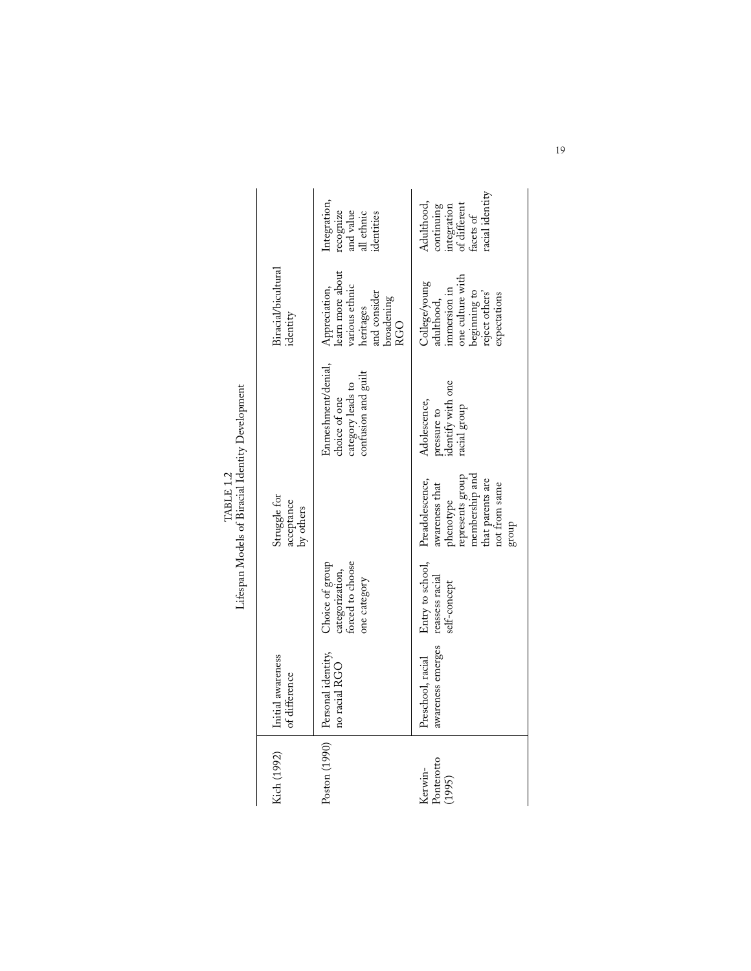TABLE 1.2<br>Lifespan Models of Biracial Identity Development Lifespan Models of Biracial Identity Development TABLE 1.2

|                                         | Integration,<br>recognize<br>and value<br>all ethnic<br>identities                                    | acial identity<br>Adulthood,<br>integration<br>of different<br>continuing<br>facets of                           |
|-----------------------------------------|-------------------------------------------------------------------------------------------------------|------------------------------------------------------------------------------------------------------------------|
| Biracial/bicultural<br>identity         | Appreciation,<br>learn more about<br>various ethnic<br>heritages<br>and consider<br>broadening<br>RGO | one culture with<br>College/young<br>immersion in<br>beginning to<br>reject others'<br>xpectations<br>adulthood, |
|                                         | Enmeshment/denial,<br>confusion and guilt<br>category leads to<br>choice of one                       | pressure to<br>identify with one<br>Adolescence,<br>racial group                                                 |
| Struggle for<br>acceptance<br>by others |                                                                                                       | membership and<br>represents group<br>that parents are<br>awareness that<br>not from same<br>phenotype<br>group  |
|                                         | Choice of group<br>categorization,<br>forced to choose<br>one category                                | Entry to school, Preadolescence,<br>reassess racial<br>self-concept                                              |
| Initial awareness<br>of difference      | Personal identity,<br>no racial RGO                                                                   | awareness emerges<br>Preschool, racial                                                                           |
| Kich (1992)                             | Poston (1990)                                                                                         | Ponterotto<br>Kerwin-<br>(1995)                                                                                  |